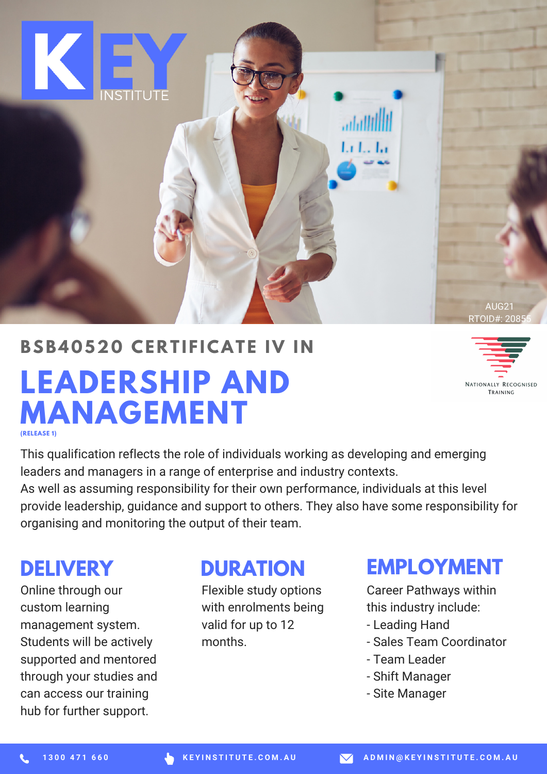

#### **BSB4 0 520 CE R T I F ICAT E IV I N**

## **LEADERSHIP AND MANAGEMENT (RELEASE 1)**



This qualification reflects the role of individuals working as developing and emerging leaders and managers in a range of enterprise and industry contexts. As well as assuming responsibility for their own performance, individuals at this level provide leadership, guidance and support to others. They also have some responsibility for organising and monitoring the output of their team.

Online through our custom learning management system. Students will be actively supported and mentored through your studies and can access our training hub for further support.

## **DELIVERY DURATION**

Flexible study options with enrolments being valid for up to 12 months.

### **EMPLOYMENT**

Career Pathways within this industry include:

- Leading Hand
- Sales Team Coordinator
- Team Leader
- Shift Manager
- Site Manager